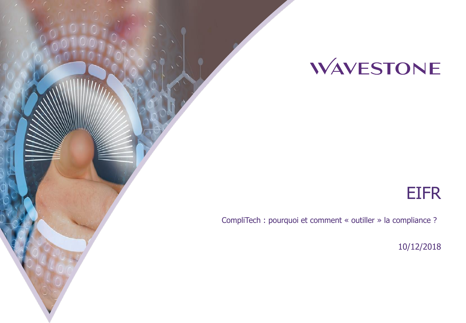# WAVESTONE

## EIFR

CompliTech : pourquoi et comment « outiller » la compliance ?

10/12/2018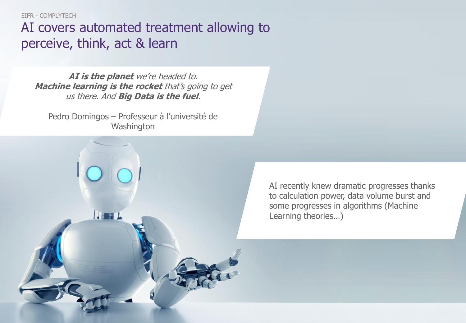EIFR - COMPLYTECH

AI covers automated treatment allowing to perceive, think, act & learn

**AI is the planet** we're headed to. **Machine learning is the rocket** that's going to get us there. And **Big Data is the fuel**.

Pedro Domingos – Professeur à l'université de **Washington** 

 $\mathbf{H}$ 

AI recently knew dramatic progresses thanks to calculation power, data volume burst and some progresses in algorithms (Machine Learning theories…)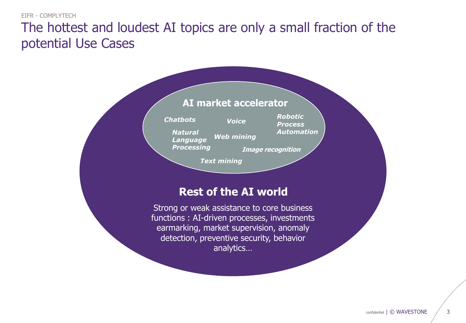## The hottest and loudest AI topics are only a small fraction of the potential Use Cases

| AI market accelerator                                                                                                                                                                                              |  |
|--------------------------------------------------------------------------------------------------------------------------------------------------------------------------------------------------------------------|--|
| <b>Robotic</b><br><b>Chatbots</b><br><b>Voice</b><br><b>Process</b><br><b>Automation</b><br><b>Natural</b><br><b>Web mining</b><br>Language<br><b>Processing</b><br><b>Image recognition</b><br><b>Text mining</b> |  |
| <b>Rest of the AI world</b>                                                                                                                                                                                        |  |
| Strong or weak assistance to core business<br>functions: AI-driven processes, investments<br>earmarking, market supervision, anomaly<br>detection, preventive security, behavior<br>analytics                      |  |
|                                                                                                                                                                                                                    |  |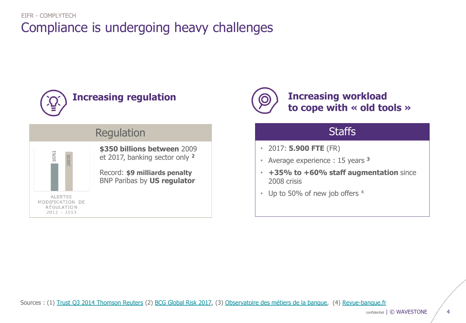## Compliance is undergoing heavy challenges EIFR - COMPLYTECH





Regulation **Staffs** 

**\$350 billions between** 2009 et 2017, banking sector only **<sup>2</sup>**

Record: **\$9 milliards penalty** BNP Paribas by **US regulator**



## **Increasing regulation Increasing workload to cope with « old tools »**

- 2017: **5.900 FTE** (FR)
- Average experience : 15 years **<sup>3</sup>**
- **+35% to +60% staff augmentation** since 2008 crisis
- Up to 50% of new job offers 4

Sources : (1) [Trust Q3 2014 Thomson Reuters](http://share.thomsonreuters.com/pr_us/1008361_TrustQ4.pdf) (2) [BCG Global Risk](http://image-src.bcg.com/BCG_COM/BCG-Staying-the-Course-in-Banking-Mar-2017_tcm9-146794.pdf) 2017, (3) [Observatoire des métiers de la banque,](http://www.observatoire-metiers-banque.fr/mediaServe/Etude+metier+conformit%C3%A9.pdf?ixh=3192818464198754305) (4) [Revue-banque.fr](http://www.revue-banque.fr/banque-investissement-marches-gestion-actifs/article/effectifs-les-heures-difficiles-bfi)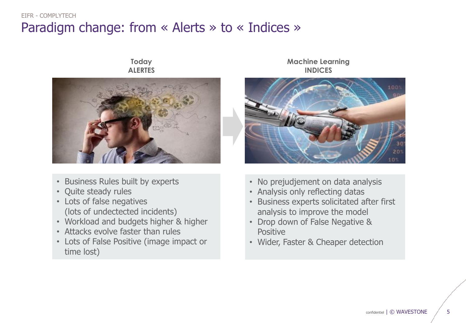## Paradigm change: from « Alerts » to « Indices » EIFR - COMPLYTECH

### **Today ALERTES**



- Business Rules built by experts
- Quite steady rules
- Lots of false negatives (lots of undectected incidents)
- Workload and budgets higher & higher
- Attacks evolve faster than rules
- Lots of False Positive (image impact or time lost)

### **Machine Learning INDICES**



- No prejudjement on data analysis
- Analysis only reflecting datas
- Business experts solicitated after first analysis to improve the model
- Drop down of False Negative & Positive
- Wider, Faster & Cheaper detection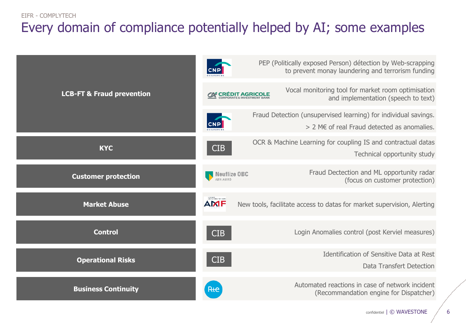#### EIFR - COMPLYTECH

## Every domain of compliance potentially helped by AI; some examples

|                                      |                                 | PEP (Politically exposed Person) détection by Web-scrapping<br>to prevent monay laundering and terrorism funding |
|--------------------------------------|---------------------------------|------------------------------------------------------------------------------------------------------------------|
| <b>LCB-FT &amp; Fraud prevention</b> | <b>AX CRÉDIT AGRICOLE</b>       | Vocal monitoring tool for market room optimisation<br>and implementation (speech to text)                        |
|                                      |                                 | Fraud Detection (unsupervised learning) for individual savings.<br>$> 2$ ME of real Fraud detected as anomalies. |
| <b>KYC</b>                           | <b>CIB</b>                      | OCR & Machine Learning for coupling IS and contractual datas<br>Technical opportunity study                      |
| <b>Customer protection</b>           | <b>Neuflize OBC</b><br>ARN AMRO | Fraud Dectection and ML opportunity radar<br>(focus on customer protection)                                      |
| <b>Market Abuse</b>                  | <b>AMF</b>                      | New tools, facilitate access to datas for market supervision, Alerting                                           |
| <b>Control</b>                       | <b>CIB</b>                      | Login Anomalies control (post Kerviel measures)                                                                  |
| <b>Operational Risks</b>             | <b>CIB</b>                      | <b>Identification of Sensitive Data at Rest</b><br>Data Transfert Detection                                      |
| <b>Business Continuity</b>           | Rte                             | Automated reactions in case of network incident<br>(Recommandation engine for Dispatcher)                        |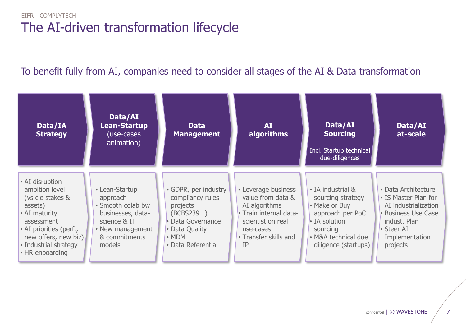## The AI-driven transformation lifecycle EIFR - COMPLYTECH

## To benefit fully from AI, companies need to consider all stages of the AI & Data transformation

| Data/IA<br><b>Strategy</b>                                                                                                                                                                     | Data/AI<br><b>Lean-Startup</b><br>(use-cases<br>animation)                                                                          | <b>Data</b><br><b>Management</b>                                                                                                              | <b>AI</b><br>algorithms                                                                                                                              | Data/AI<br><b>Sourcing</b><br>Incl. Startup technical<br>due-diligences                                                                                       | Data/AI<br>at-scale                                                                                                                                    |
|------------------------------------------------------------------------------------------------------------------------------------------------------------------------------------------------|-------------------------------------------------------------------------------------------------------------------------------------|-----------------------------------------------------------------------------------------------------------------------------------------------|------------------------------------------------------------------------------------------------------------------------------------------------------|---------------------------------------------------------------------------------------------------------------------------------------------------------------|--------------------------------------------------------------------------------------------------------------------------------------------------------|
| • AI disruption<br>ambition level<br>(vs cie stakes &<br>assets)<br>• AI maturity<br>assessment<br>• AI priorities (perf.,<br>new offers, new biz)<br>• Industrial strategy<br>• HR enboarding | • Lean-Startup<br>approach<br>· Smooth colab bw<br>businesses, data-<br>science & IT<br>• New management<br>& commitments<br>models | • GDPR, per industry<br>compliancy rules<br>projects<br>(BCBS239)<br>• Data Governance<br>• Data Quality<br>$\cdot$ MDM<br>• Data Referential | • Leverage business<br>value from data &<br>AI algorithms<br>• Train internal data-<br>scientist on real<br>use-cases<br>• Transfer skills and<br>IP | • IA industrial &<br>sourcing strategy<br>• Make or Buy<br>approach per PoC<br>$\cdot$ IA solution<br>sourcing<br>• M&A technical due<br>diligence (startups) | • Data Architecture<br>• IS Master Plan for<br>AI industrialization<br>• Business Use Case<br>indust. Plan<br>• Steer AI<br>Implementation<br>projects |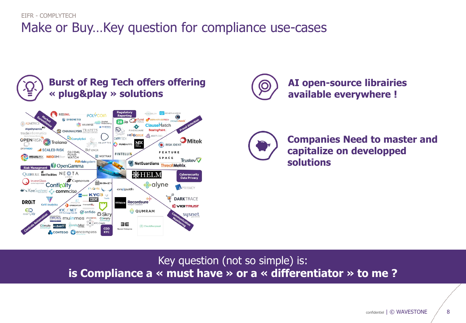## Make or Buy…Key question for compliance use-cases EIFR - COMPLYTECH



**Burst of Reg Tech offers offering**



**AI open-source librairies available everywhere !**



**Companies Need to master and capitalize on developped solutions**

Key question (not so simple) is: **is Compliance a « must have » or a « differentiator » to me ?**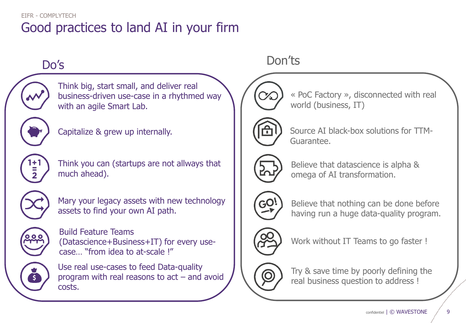## Good practices to land AI in your firm EIFR - COMPLYTECH



Think big, start small, and deliver real business-driven use-case in a rhythmed way with an agile Smart Lab.



Capitalize & grew up internally.



Think you can (startups are not allways that much ahead).



Mary your legacy assets with new technology assets to find your own AI path.



Build Feature Teams (Datascience+Business+IT) for every usecase… "from idea to at-scale !"



Use real use-cases to feed Data-quality program with real reasons to act – and avoid costs.



« PoC Factory », disconnected with real world (business, IT)



Source AI black-box solutions for TTM-Guarantee.



Believe that datascience is alpha & omega of AI transformation.



Believe that nothing can be done before having run a huge data-quality program.



Work without IT Teams to go faster !



Try & save time by poorly defining the real business question to address !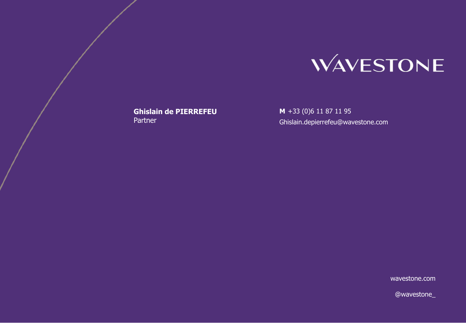

**Ghislain de PIERREFEU Partner** 

**M** +33 (0)6 11 87 11 95 Ghislain.depierrefeu@wavestone.com

wavestone.com

@wavestone\_